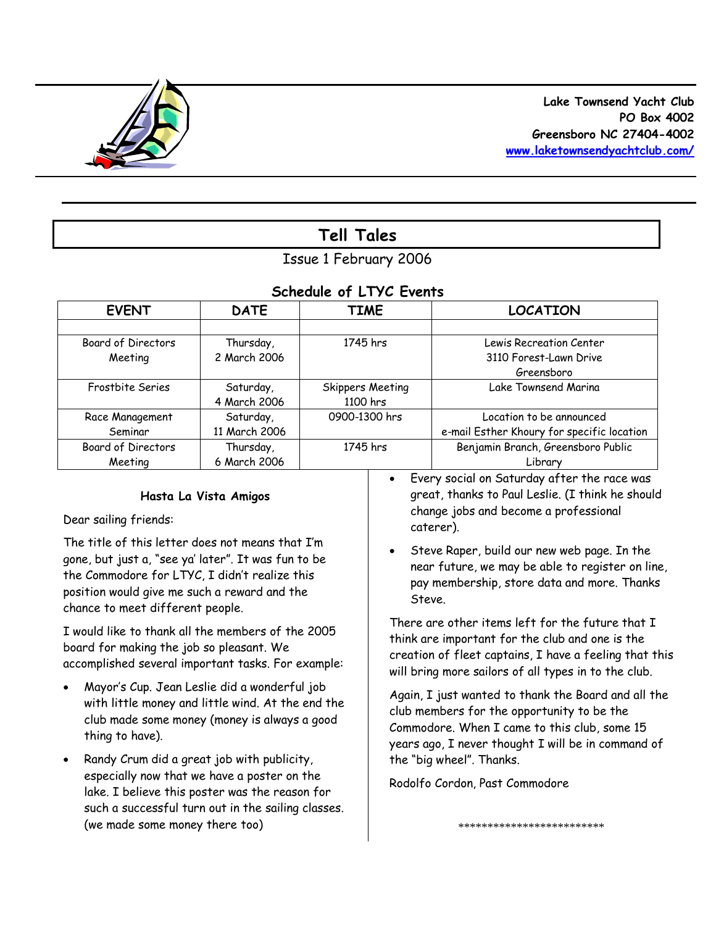

# **Tell Tales**

# Issue 1 February 2006

# *Schedule of LTYC Events*

| <b>EVENT</b>              | <b>DATE</b>   | <b>TIME</b>      | <b>LOCATION</b>                            |
|---------------------------|---------------|------------------|--------------------------------------------|
|                           |               |                  |                                            |
| Board of Directors        | Thursday,     | 1745 hrs         | Lewis Recreation Center                    |
| Meeting                   | 2 March 2006  |                  | 3110 Forest-Lawn Drive                     |
|                           |               |                  | Greensboro                                 |
| Frostbite Series          | Saturday,     | Skippers Meeting | Lake Townsend Marina                       |
|                           | 4 March 2006  | 1100 hrs         |                                            |
| Race Management           | Saturday,     | 0900-1300 hrs    | Location to be announced                   |
| Seminar                   | 11 March 2006 |                  | e-mail Esther Khoury for specific location |
| <b>Board of Directors</b> | Thursday,     | 1745 hrs         | Benjamin Branch, Greensboro Public         |
| Meeting                   | 6 March 2006  |                  | Library                                    |

## **Hasta La Vista Amigos**

Dear sailing friends:

The title of this letter does not means that I'm gone, but just a, "see ya' later". It was fun to be the Commodore for LTYC, I didn't realize this position would give me such a reward and the chance to meet different people.

I would like to thank all the members of the 2005 board for making the job so pleasant. We accomplished several important tasks. For example:

- Mayor's Cup. Jean Leslie did a wonderful job with little money and little wind. At the end the club made some money (money is always a good thing to have).
- Randy Crum did a great job with publicity, especially now that we have a poster on the lake. I believe this poster was the reason for such a successful turn out in the sailing classes. (we made some money there too)
- Every social on Saturday after the race was great, thanks to Paul Leslie. (I think he should change jobs and become a professional caterer).
- Steve Raper, build our new web page. In the near future, we may be able to register on line, pay membership, store data and more. Thanks Steve.

There are other items left for the future that I think are important for the club and one is the creation of fleet captains, I have a feeling that this will bring more sailors of all types in to the club.

Again, I just wanted to thank the Board and all the club members for the opportunity to be the Commodore. When I came to this club, some 15 years ago, I never thought I will be in command of the "big wheel". Thanks.

Rodolfo Cordon, Past Commodore

\*\*\*\*\*\*\*\*\*\*\*\*\*\*\*\*\*\*\*\*\*\*\*\*\*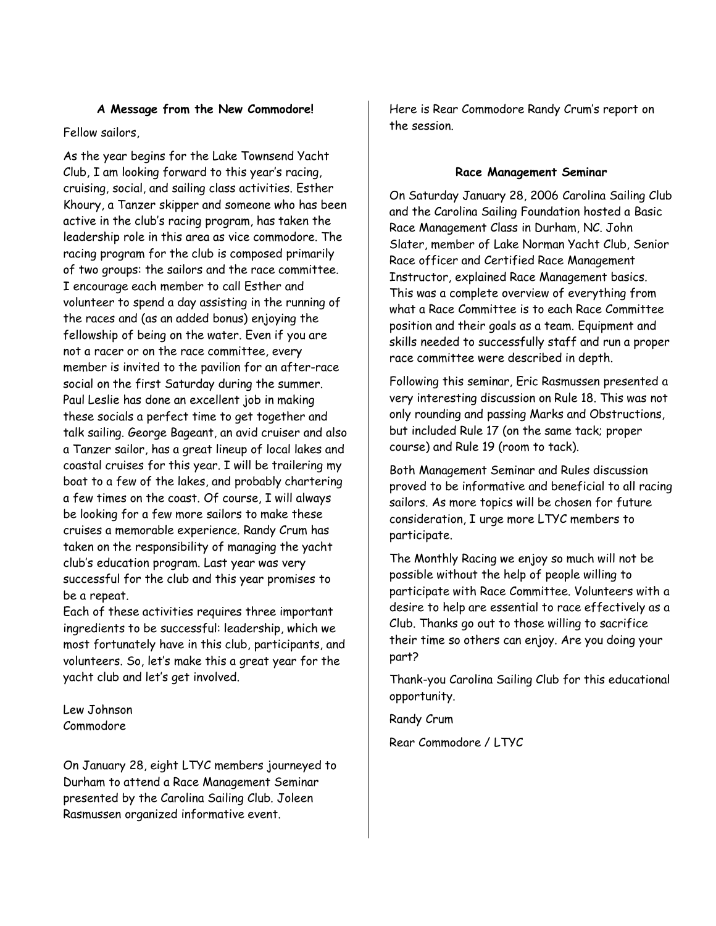### **A Message from the New Commodore!**

## Fellow sailors,

As the year begins for the Lake Townsend Yacht Club, I am looking forward to this year's racing, cruising, social, and sailing class activities. Esther Khoury, a Tanzer skipper and someone who has been active in the club's racing program, has taken the leadership role in this area as vice commodore. The racing program for the club is composed primarily of two groups: the sailors and the race committee. I encourage each member to call Esther and volunteer to spend a day assisting in the running of the races and (as an added bonus) enjoying the fellowship of being on the water. Even if you are not a racer or on the race committee, every member is invited to the pavilion for an after-race social on the first Saturday during the summer. Paul Leslie has done an excellent job in making these socials a perfect time to get together and talk sailing. George Bageant, an avid cruiser and also a Tanzer sailor, has a great lineup of local lakes and coastal cruises for this year. I will be trailering my boat to a few of the lakes, and probably chartering a few times on the coast. Of course, I will always be looking for a few more sailors to make these cruises a memorable experience. Randy Crum has taken on the responsibility of managing the yacht club's education program. Last year was very successful for the club and this year promises to be a repeat.

Each of these activities requires three important ingredients to be successful: leadership, which we most fortunately have in this club, participants, and volunteers. So, let's make this a great year for the yacht club and let's get involved.

Lew Johnson Commodore

On January 28, eight LTYC members journeyed to Durham to attend a Race Management Seminar presented by the Carolina Sailing Club. Joleen Rasmussen organized informative event.

Here is Rear Commodore Randy Crum's report on the session.

## **Race Management Seminar**

On Saturday January 28, 2006 Carolina Sailing Club and the Carolina Sailing Foundation hosted a Basic Race Management Class in Durham, NC. John Slater, member of Lake Norman Yacht Club, Senior Race officer and Certified Race Management Instructor, explained Race Management basics. This was a complete overview of everything from what a Race Committee is to each Race Committee position and their goals as a team. Equipment and skills needed to successfully staff and run a proper race committee were described in depth.

Following this seminar, Eric Rasmussen presented a very interesting discussion on Rule 18. This was not only rounding and passing Marks and Obstructions, but included Rule 17 (on the same tack; proper course) and Rule 19 (room to tack).

Both Management Seminar and Rules discussion proved to be informative and beneficial to all racing sailors. As more topics will be chosen for future consideration, I urge more LTYC members to participate.

The Monthly Racing we enjoy so much will not be possible without the help of people willing to participate with Race Committee. Volunteers with a desire to help are essential to race effectively as a Club. Thanks go out to those willing to sacrifice their time so others can enjoy. Are you doing your part?

Thank-you Carolina Sailing Club for this educational opportunity.

Randy Crum

Rear Commodore / LTYC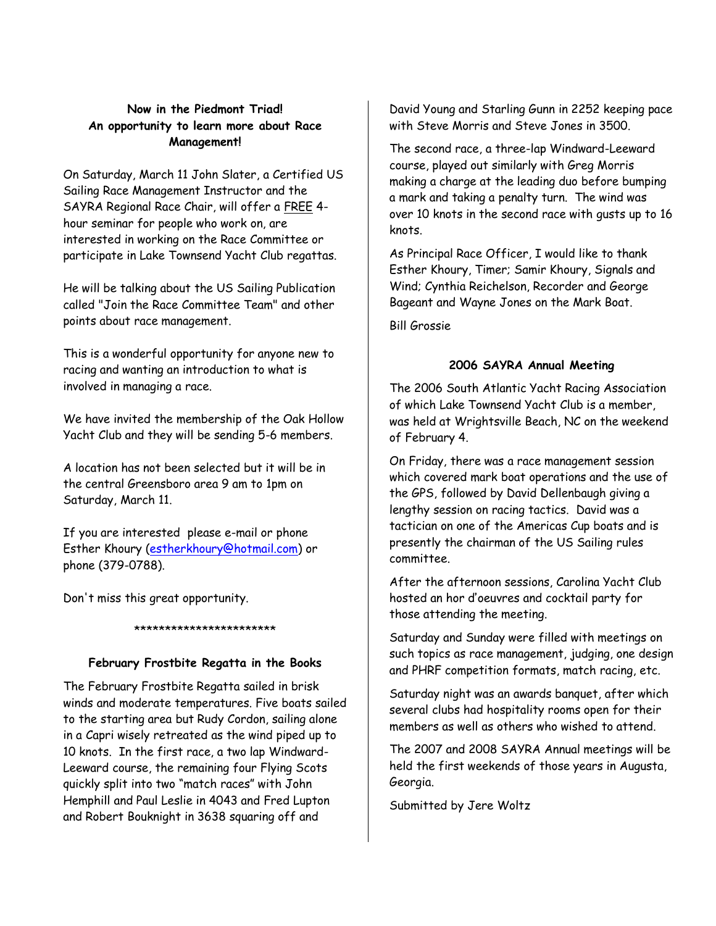## **Now in the Piedmont Triad! An opportunity to learn more about Race Management!**

On Saturday, March 11 John Slater, a Certified US Sailing Race Management Instructor and the SAYRA Regional Race Chair, will offer a FREE 4 hour seminar for people who work on, are interested in working on the Race Committee or participate in Lake Townsend Yacht Club regattas.

He will be talking about the US Sailing Publication called "Join the Race Committee Team" and other points about race management.

This is a wonderful opportunity for anyone new to racing and wanting an introduction to what is involved in managing a race.

We have invited the membership of the Oak Hollow Yacht Club and they will be sending 5-6 members.

A location has not been selected but it will be in the central Greensboro area 9 am to 1pm on Saturday, March 11.

If you are interested please e-mail or phone Esther Khoury (estherkhoury@hotmail.com) or phone (379-0788).

Don't miss this great opportunity.

#### \*\*\*\*\*\*\*\*\*\*\*\*\*\*\*\*\*\*\*\*\*\*\*

## **February Frostbite Regatta in the Books**

The February Frostbite Regatta sailed in brisk winds and moderate temperatures. Five boats sailed to the starting area but Rudy Cordon, sailing alone in a Capri wisely retreated as the wind piped up to 10 knots. In the first race, a two lap Windward-Leeward course, the remaining four Flying Scots quickly split into two "match races" with John Hemphill and Paul Leslie in 4043 and Fred Lupton and Robert Bouknight in 3638 squaring off and

David Young and Starling Gunn in 2252 keeping pace with Steve Morris and Steve Jones in 3500.

The second race, a three-lap Windward-Leeward course, played out similarly with Greg Morris making a charge at the leading duo before bumping a mark and taking a penalty turn. The wind was over 10 knots in the second race with gusts up to 16 knots.

As Principal Race Officer, I would like to thank Esther Khoury, Timer; Samir Khoury, Signals and Wind; Cynthia Reichelson, Recorder and George Bageant and Wayne Jones on the Mark Boat.

Bill Grossie

## **2006 SAYRA Annual Meeting**

The 2006 South Atlantic Yacht Racing Association of which Lake Townsend Yacht Club is a member, was held at Wrightsville Beach, NC on the weekend of February 4.

On Friday, there was a race management session which covered mark boat operations and the use of the GPS, followed by David Dellenbaugh giving a lengthy session on racing tactics. David was a tactician on one of the Americas Cup boats and is presently the chairman of the US Sailing rules committee.

After the afternoon sessions, Carolina Yacht Club hosted an hor ďoeuvres and cocktail party for those attending the meeting.

Saturday and Sunday were filled with meetings on such topics as race management, judging, one design and PHRF competition formats, match racing, etc.

Saturday night was an awards banquet, after which several clubs had hospitality rooms open for their members as well as others who wished to attend.

The 2007 and 2008 SAYRA Annual meetings will be held the first weekends of those years in Augusta, Georgia.

Submitted by Jere Woltz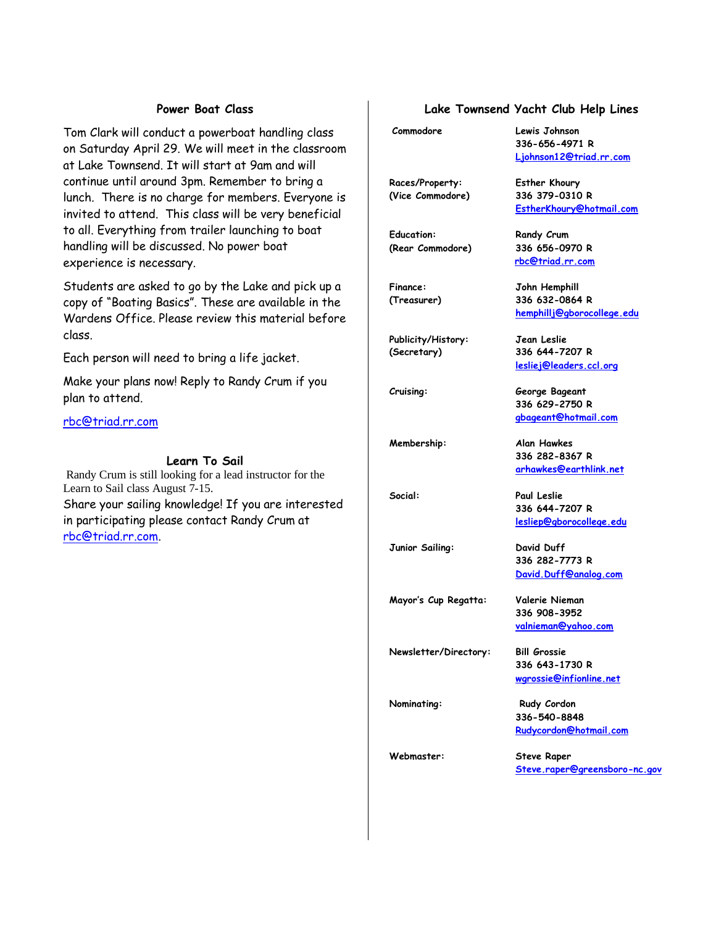### **Power Boat Class**

Tom Clark will conduct a powerboat handling class on Saturday April 29. We will meet in the classroom at Lake Townsend. It will start at 9am and will continue until around 3pm. Remember to bring a lunch. There is no charge for members. Everyone is invited to attend. This class will be very beneficial to all. Everything from trailer launching to boat handling will be discussed. No power boat experience is necessary.

Students are asked to go by the Lake and pick up a copy of "Boating Basics". These are available in the Wardens Office. Please review this material before class.

Each person will need to bring a life jacket.

Make your plans now! Reply to Randy Crum if you plan to attend.

rbc@triad.rr.com

#### **Learn To Sail**

Randy Crum is still looking for a lead instructor for the Learn to Sail class August 7-15. Share your sailing knowledge! If you are interested in participating please contact Randy Crum at rbc@triad.rr.com.

## **Lake Townsend Yacht Club Help Lines**

**336-656-4971 R Ljohnson12@triad.rr.com**

**rbc@triad.rr.com**

**EstherKhoury@hotmail.com**

**hemphillj@gborocollege.edu**

**lesliej@leaders.ccl.org**

**336 629-2750 R gbageant@hotmail.com**

**336 282-8367 R arhawkes@earthlink.net**

**336 644-7207 R lesliep@gborocollege.edu**

**336 282-7773 R David.Duff@analog.com**

**336 908-3952 valnieman@yahoo.com**

**336 643-1730 R wgrossie@infionline.net**

**Commodore Lewis Johnson**

**Races/Property: Esther Khoury (Vice Commodore) 336 379-0310 R**

Education: **Randy Crum (Rear Commodore) 336 656-0970 R**

**Finance: John Hemphill (Treasurer) 336 632-0864 R**

**Publicity/History: Jean Leslie (Secretary) 336 644-7207 R**

**Cruising: George Bageant**

**Membership: Alan Hawkes**

**Social: Paul Leslie**

**Junior Sailing: David Duff**

**Mayor's Cup Regatta: Valerie Nieman**

**Newsletter/Directory: Bill Grossie**

**Nominating:** Rudy Cordon **336-540-8848 Rudycordon@hotmail.com**

**Webmaster: Steve Raper Steve.raper@greensboro-nc.gov**